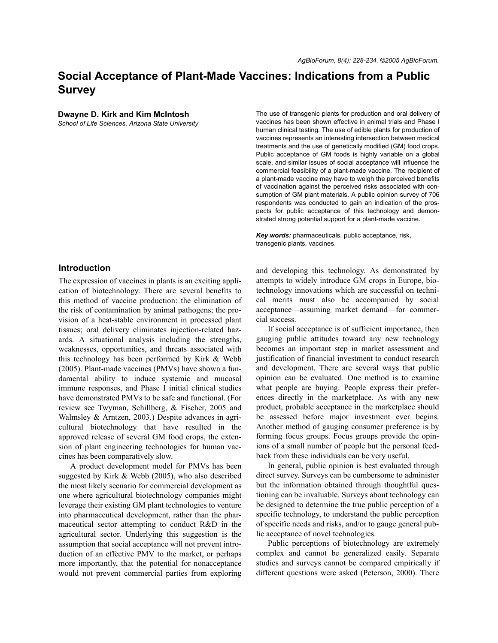# **Social Acceptance of Plant-Made Vaccines: Indications from a Public Survey**

#### **Dwayne D. Kirk and Kim McIntosh**

*School of Life Sciences, Arizona State University*

The use of transgenic plants for production and oral delivery of vaccines has been shown effective in animal trials and Phase I human clinical testing. The use of edible plants for production of vaccines represents an interesting intersection between medical treatments and the use of genetically modified (GM) food crops. Public acceptance of GM foods is highly variable on a global scale, and similar issues of social acceptance will influence the commercial feasibility of a plant-made vaccine. The recipient of a plant-made vaccine may have to weigh the perceived benefits of vaccination against the perceived risks associated with consumption of GM plant materials. A public opinion survey of 706 respondents was conducted to gain an indication of the prospects for public acceptance of this technology and demonstrated strong potential support for a plant-made vaccine.

*Key words:* pharmaceuticals, public acceptance, risk, transgenic plants, vaccines.

## **Introduction**

The expression of vaccines in plants is an exciting application of biotechnology. There are several benefits to this method of vaccine production: the elimination of the risk of contamination by animal pathogens; the provision of a heat-stable environment in processed plant tissues; oral delivery eliminates injection-related hazards. A situational analysis including the strengths, weaknesses, opportunities, and threats associated with this technology has been performed by Kirk & Webb (2005). Plant-made vaccines (PMVs) have shown a fundamental ability to induce systemic and mucosal immune responses, and Phase I initial clinical studies have demonstrated PMVs to be safe and functional. (For review see Twyman, Schillberg, & Fischer, 2005 and Walmsley & Arntzen, 2003.) Despite advances in agricultural biotechnology that have resulted in the approved release of several GM food crops, the extension of plant engineering technologies for human vaccines has been comparatively slow.

A product development model for PMVs has been suggested by Kirk & Webb (2005), who also described the most likely scenario for commercial development as one where agricultural biotechnology companies might leverage their existing GM plant technologies to venture into pharmaceutical development, rather than the pharmaceutical sector attempting to conduct R&D in the agricultural sector. Underlying this suggestion is the assumption that social acceptance will not prevent introduction of an effective PMV to the market, or perhaps more importantly, that the potential for nonacceptance would not prevent commercial parties from exploring

and developing this technology. As demonstrated by attempts to widely introduce GM crops in Europe, biotechnology innovations which are successful on technical merits must also be accompanied by social acceptance—assuming market demand—for commercial success.

If social acceptance is of sufficient importance, then gauging public attitudes toward any new technology becomes an important step in market assessment and justification of financial investment to conduct research and development. There are several ways that public opinion can be evaluated. One method is to examine what people are buying. People express their preferences directly in the marketplace. As with any new product, probable acceptance in the marketplace should be assessed before major investment ever begins. Another method of gauging consumer preference is by forming focus groups. Focus groups provide the opinions of a small number of people but the personal feedback from these individuals can be very useful.

In general, public opinion is best evaluated through direct survey. Surveys can be cumbersome to administer but the information obtained through thoughtful questioning can be invaluable. Surveys about technology can be designed to determine the true public perception of a specific technology, to understand the public perception of specific needs and risks, and/or to gauge general public acceptance of novel technologies.

Public perceptions of biotechnology are extremely complex and cannot be generalized easily. Separate studies and surveys cannot be compared empirically if different questions were asked (Peterson, 2000). There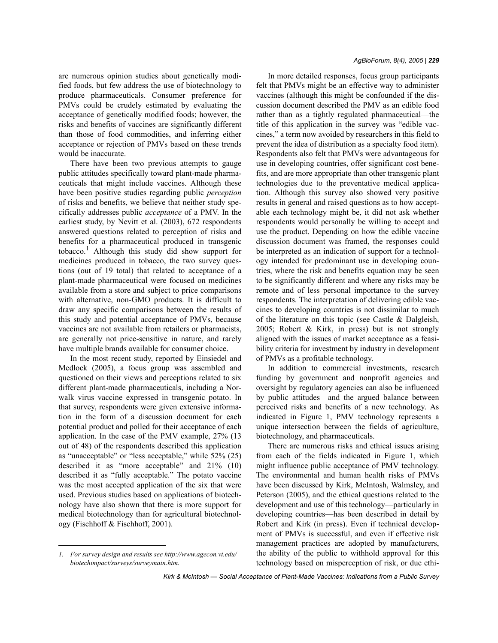are numerous opinion studies about genetically modified foods, but few address the use of biotechnology to produce pharmaceuticals. Consumer preference for PMVs could be crudely estimated by evaluating the acceptance of genetically modified foods; however, the risks and benefits of vaccines are significantly different than those of food commodities, and inferring either acceptance or rejection of PMVs based on these trends would be inaccurate.

There have been two previous attempts to gauge public attitudes specifically toward plant-made pharmaceuticals that might include vaccines. Although these have been positive studies regarding public *perception* of risks and benefits, we believe that neither study specifically addresses public *acceptance* of a PMV. In the earliest study, by Nevitt et al. (2003), 672 respondents answered questions related to perception of risks and benefits for a pharmaceutical produced in transgenic tobacco.<sup>1</sup> Although this study did show support for medicines produced in tobacco, the two survey questions (out of 19 total) that related to acceptance of a plant-made pharmaceutical were focused on medicines available from a store and subject to price comparisons with alternative, non-GMO products. It is difficult to draw any specific comparisons between the results of this study and potential acceptance of PMVs, because vaccines are not available from retailers or pharmacists, are generally not price-sensitive in nature, and rarely have multiple brands available for consumer choice.

In the most recent study, reported by Einsiedel and Medlock (2005), a focus group was assembled and questioned on their views and perceptions related to six different plant-made pharmaceuticals, including a Norwalk virus vaccine expressed in transgenic potato. In that survey, respondents were given extensive information in the form of a discussion document for each potential product and polled for their acceptance of each application. In the case of the PMV example, 27% (13 out of 48) of the respondents described this application as "unacceptable" or "less acceptable," while 52% (25) described it as "more acceptable" and 21% (10) described it as "fully acceptable." The potato vaccine was the most accepted application of the six that were used. Previous studies based on applications of biotechnology have also shown that there is more support for medical biotechnology than for agricultural biotechnology (Fischhoff & Fischhoff, 2001).

#### *AgBioForum, 8(4), 2005 | 229*

In more detailed responses, focus group participants felt that PMVs might be an effective way to administer vaccines (although this might be confounded if the discussion document described the PMV as an edible food rather than as a tightly regulated pharmaceutical—the title of this application in the survey was "edible vaccines," a term now avoided by researchers in this field to prevent the idea of distribution as a specialty food item). Respondents also felt that PMVs were advantageous for use in developing countries, offer significant cost benefits, and are more appropriate than other transgenic plant technologies due to the preventative medical application. Although this survey also showed very positive results in general and raised questions as to how acceptable each technology might be, it did not ask whether respondents would personally be willing to accept and use the product. Depending on how the edible vaccine discussion document was framed, the responses could be interpreted as an indication of support for a technology intended for predominant use in developing countries, where the risk and benefits equation may be seen to be significantly different and where any risks may be remote and of less personal importance to the survey respondents. The interpretation of delivering edible vaccines to developing countries is not dissimilar to much of the literature on this topic (see Castle & Dalgleish, 2005; Robert & Kirk, in press) but is not strongly aligned with the issues of market acceptance as a feasibility criteria for investment by industry in development of PMVs as a profitable technology.

In addition to commercial investments, research funding by government and nonprofit agencies and oversight by regulatory agencies can also be influenced by public attitudes—and the argued balance between perceived risks and benefits of a new technology. As indicated in Figure 1, PMV technology represents a unique intersection between the fields of agriculture, biotechnology, and pharmaceuticals.

There are numerous risks and ethical issues arising from each of the fields indicated in Figure 1, which might influence public acceptance of PMV technology. The environmental and human health risks of PMVs have been discussed by Kirk, McIntosh, Walmsley, and Peterson (2005), and the ethical questions related to the development and use of this technology—particularly in developing countries—has been described in detail by Robert and Kirk (in press). Even if technical development of PMVs is successful, and even if effective risk management practices are adopted by manufacturers, the ability of the public to withhold approval for this technology based on misperception of risk, or due ethi-

*Kirk & McIntosh — Social Acceptance of Plant-Made Vaccines: Indications from a Public Survey*

*<sup>1.</sup> For survey design and results see http://www.agecon.vt.edu/ biotechimpact/surveys/surveymain.htm.*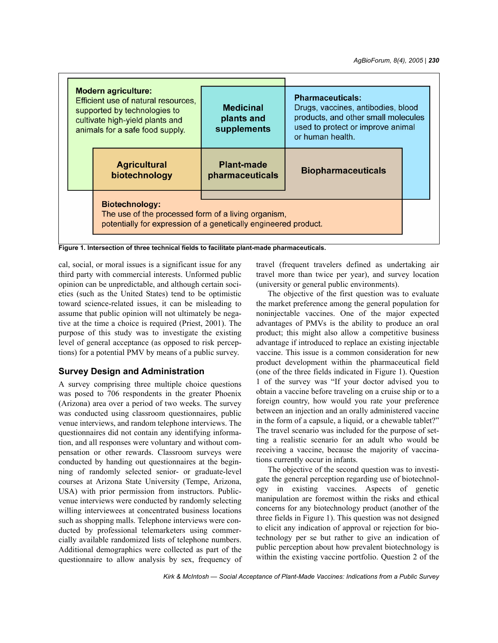| <b>Modern agriculture:</b><br>Efficient use of natural resources.<br>supported by technologies to<br>cultivate high-yield plants and<br>animals for a safe food supply. | <b>Pharmaceuticals:</b><br>Drugs, vaccines, antibodies, blood<br><b>Medicinal</b><br>products, and other small molecules<br>plants and<br>used to protect or improve animal<br>supplements<br>or human health. |                           |  |  |  |  |  |
|-------------------------------------------------------------------------------------------------------------------------------------------------------------------------|----------------------------------------------------------------------------------------------------------------------------------------------------------------------------------------------------------------|---------------------------|--|--|--|--|--|
| <b>Agricultural</b><br>biotechnology                                                                                                                                    | <b>Plant-made</b><br>pharmaceuticals                                                                                                                                                                           | <b>Biopharmaceuticals</b> |  |  |  |  |  |
| <b>Biotechnology:</b><br>The use of the processed form of a living organism,<br>potentially for expression of a genetically engineered product.                         |                                                                                                                                                                                                                |                           |  |  |  |  |  |

**Figure 1. Intersection of three technical fields to facilitate plant-made pharmaceuticals.**

cal, social, or moral issues is a significant issue for any third party with commercial interests. Unformed public opinion can be unpredictable, and although certain societies (such as the United States) tend to be optimistic toward science-related issues, it can be misleading to assume that public opinion will not ultimately be negative at the time a choice is required (Priest, 2001). The purpose of this study was to investigate the existing level of general acceptance (as opposed to risk perceptions) for a potential PMV by means of a public survey.

# **Survey Design and Administration**

A survey comprising three multiple choice questions was posed to 706 respondents in the greater Phoenix (Arizona) area over a period of two weeks. The survey was conducted using classroom questionnaires, public venue interviews, and random telephone interviews. The questionnaires did not contain any identifying information, and all responses were voluntary and without compensation or other rewards. Classroom surveys were conducted by handing out questionnaires at the beginning of randomly selected senior- or graduate-level courses at Arizona State University (Tempe, Arizona, USA) with prior permission from instructors. Publicvenue interviews were conducted by randomly selecting willing interviewees at concentrated business locations such as shopping malls. Telephone interviews were conducted by professional telemarketers using commercially available randomized lists of telephone numbers. Additional demographics were collected as part of the questionnaire to allow analysis by sex, frequency of travel (frequent travelers defined as undertaking air travel more than twice per year), and survey location (university or general public environments).

The objective of the first question was to evaluate the market preference among the general population for noninjectable vaccines. One of the major expected advantages of PMVs is the ability to produce an oral product; this might also allow a competitive business advantage if introduced to replace an existing injectable vaccine. This issue is a common consideration for new product development within the pharmaceutical field (one of the three fields indicated in Figure 1). Question 1 of the survey was "If your doctor advised you to obtain a vaccine before traveling on a cruise ship or to a foreign country, how would you rate your preference between an injection and an orally administered vaccine in the form of a capsule, a liquid, or a chewable tablet?" The travel scenario was included for the purpose of setting a realistic scenario for an adult who would be receiving a vaccine, because the majority of vaccinations currently occur in infants.

The objective of the second question was to investigate the general perception regarding use of biotechnology in existing vaccines. Aspects of genetic manipulation are foremost within the risks and ethical concerns for any biotechnology product (another of the three fields in Figure 1). This question was not designed to elicit any indication of approval or rejection for biotechnology per se but rather to give an indication of public perception about how prevalent biotechnology is within the existing vaccine portfolio. Question 2 of the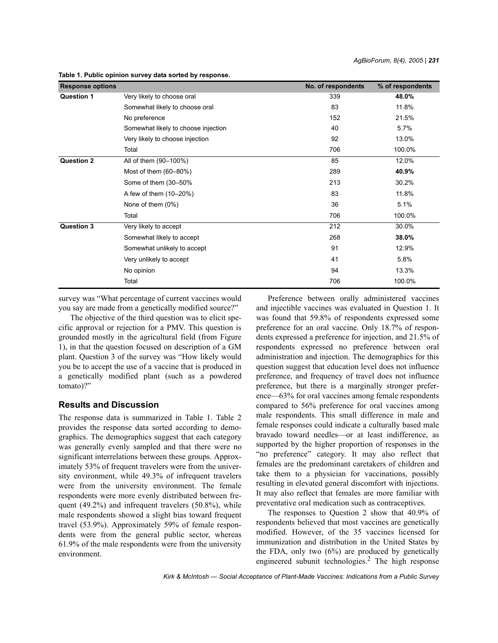| <b>Response options</b> |                                     | No. of respondents | % of respondents |
|-------------------------|-------------------------------------|--------------------|------------------|
| <b>Question 1</b>       | Very likely to choose oral          | 339                | 48.0%            |
|                         | Somewhat likely to choose oral      | 83                 | 11.8%            |
|                         | No preference                       | 152                | 21.5%            |
|                         | Somewhat likely to choose injection | 40                 | 5.7%             |
|                         | Very likely to choose injection     | 92                 | 13.0%            |
|                         | Total                               | 706                | 100.0%           |
| <b>Question 2</b>       | All of them (90-100%)               | 85                 | 12.0%            |
|                         | Most of them (60-80%)               | 289                | 40.9%            |
|                         | Some of them (30-50%                | 213                | 30.2%            |
|                         | A few of them (10-20%)              | 83                 | 11.8%            |
|                         | None of them (0%)                   | 36                 | 5.1%             |
|                         | Total                               | 706                | 100.0%           |
| <b>Question 3</b>       | Very likely to accept               | 212                | 30.0%            |
|                         | Somewhat likely to accept           | 268                | 38.0%            |
|                         | Somewhat unlikely to accept         | 91                 | 12.9%            |
|                         | Very unlikely to accept             | 41                 | 5.8%             |
|                         | No opinion                          | 94                 | 13.3%            |
|                         | Total                               | 706                | 100.0%           |

**Table 1. Public opinion survey data sorted by response.**

survey was "What percentage of current vaccines would you say are made from a genetically modified source?"

The objective of the third question was to elicit specific approval or rejection for a PMV. This question is grounded mostly in the agricultural field (from Figure 1), in that the question focused on description of a GM plant. Question 3 of the survey was "How likely would you be to accept the use of a vaccine that is produced in a genetically modified plant (such as a powdered tomato)?"

#### **Results and Discussion**

The response data is summarized in Table 1. Table 2 provides the response data sorted according to demographics. The demographics suggest that each category was generally evenly sampled and that there were no significant interrelations between these groups. Approximately 53% of frequent travelers were from the university environment, while 49.3% of infrequent travelers were from the university environment. The female respondents were more evenly distributed between frequent (49.2%) and infrequent travelers (50.8%), while male respondents showed a slight bias toward frequent travel (53.9%). Approximately 59% of female respondents were from the general public sector, whereas 61.9% of the male respondents were from the university environment.

Preference between orally administered vaccines and injectible vaccines was evaluated in Question 1. It was found that 59.8% of respondents expressed some preference for an oral vaccine. Only 18.7% of respondents expressed a preference for injection, and 21.5% of respondents expressed no preference between oral administration and injection. The demographics for this question suggest that education level does not influence preference, and frequency of travel does not influence preference, but there is a marginally stronger preference—63% for oral vaccines among female respondents compared to 56% preference for oral vaccines among male respondents. This small difference in male and female responses could indicate a culturally based male bravado toward needles—or at least indifference, as supported by the higher proportion of responses in the "no preference" category. It may also reflect that females are the predominant caretakers of children and take them to a physician for vaccinations, possibly resulting in elevated general discomfort with injections. It may also reflect that females are more familiar with preventative oral medication such as contraceptives.

The responses to Question 2 show that 40.9% of respondents believed that most vaccines are genetically modified. However, of the 35 vaccines licensed for immunization and distribution in the United States by the FDA, only two  $(6%)$  are produced by genetically engineered subunit technologies.<sup>2</sup> The high response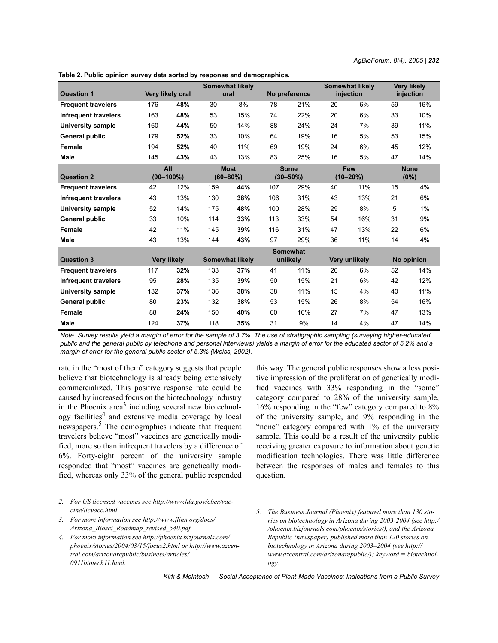**Very likely injection**

**likely** 

|                             |                  |    |      |                 | Somewhat li |               |   |
|-----------------------------|------------------|----|------|-----------------|-------------|---------------|---|
|                             | Very likely oral |    | oral |                 |             | injection     |   |
| 176                         | 48%              | 30 | 8%   | 78              | 21%         | 20            | 6 |
| 163<br>Infrequent travelers | 48%              | 53 | 15%  | 74              | 22%         | 20            | 6 |
|                             |                  |    |      | Somewhat likely |             | No preference |   |

**Table 2. Public opinion survey data sorted by response and demographics.**

| <b>Frequent travelers</b>   | 176 | 48%                | 30  | 8%                     | 78                 | 21%           | 20 | 6%            | 59 | 16%        |
|-----------------------------|-----|--------------------|-----|------------------------|--------------------|---------------|----|---------------|----|------------|
| Infrequent travelers        | 163 | 48%                | 53  | 15%                    | 74                 | 22%           | 20 | 6%            | 33 | 10%        |
| University sample           | 160 | 44%                | 50  | 14%                    | 88                 | 24%           | 24 | 7%            | 39 | 11%        |
| General public              | 179 | 52%                | 33  | 10%                    | 64                 | 19%           | 16 | 5%            | 53 | 15%        |
| Female                      | 194 | 52%                | 40  | 11%                    | 69                 | 19%           | 24 | 6%            | 45 | 12%        |
| <b>Male</b>                 | 145 | 43%                | 43  | 13%                    | 83                 | 25%           | 16 | 5%            | 47 | 14%        |
|                             |     | All                |     | <b>Most</b>            | <b>Some</b><br>Few |               |    | <b>None</b>   |    |            |
| <b>Question 2</b>           |     | $(90 - 100\%)$     |     | $(60 - 80\%)$          |                    | $(30 - 50\%)$ |    | $(10 - 20\%)$ |    | (0%)       |
| <b>Frequent travelers</b>   | 42  | 12%                | 159 | 44%                    | 107                | 29%           | 40 | 11%           | 15 | 4%         |
| <b>Infrequent travelers</b> | 43  | 13%                | 130 | 38%                    | 106                | 31%           | 43 | 13%           | 21 | 6%         |
| <b>University sample</b>    | 52  | 14%                | 175 | 48%                    | 100                | 28%           | 29 | 8%            | 5  | $1\%$      |
| General public              | 33  | 10%                | 114 | 33%                    | 113                | 33%           | 54 | 16%           | 31 | 9%         |
| Female                      | 42  | 11%                | 145 | 39%                    | 116                | 31%           | 47 | 13%           | 22 | 6%         |
| Male                        | 43  | 13%                | 144 | 43%                    | 97                 | 29%           | 36 | 11%           | 14 | 4%         |
|                             |     | <b>Somewhat</b>    |     |                        |                    |               |    |               |    |            |
| <b>Question 3</b>           |     | <b>Very likely</b> |     | <b>Somewhat likely</b> |                    | unlikely      |    | Very unlikely |    | No opinion |
| <b>Frequent travelers</b>   | 117 | 32%                | 133 | 37%                    | 41                 | 11%           | 20 | 6%            | 52 | 14%        |
| <b>Infrequent travelers</b> | 95  | 28%                | 135 | 39%                    | 50                 | 15%           | 21 | 6%            | 42 | 12%        |
| University sample           | 132 | 37%                | 136 | 38%                    | 38                 | 11%           | 15 | 4%            | 40 | 11%        |
| General public              | 80  | 23%                | 132 | 38%                    | 53                 | 15%           | 26 | 8%            | 54 | 16%        |
| Female                      | 88  | 24%                | 150 | 40%                    | 60                 | 16%           | 27 | 7%            | 47 | 13%        |
| <b>Male</b>                 | 124 | 37%                | 118 | 35%                    | 31                 | 9%            | 14 | 4%            | 47 | 14%        |

*Note. Survey results yield a margin of error for the sample of 3.7%. The use of stratigraphic sampling (surveying higher-educated public and the general public by telephone and personal interviews) yields a margin of error for the educated sector of 5.2% and a margin of error for the general public sector of 5.3% (Weiss, 2002).*

rate in the "most of them" category suggests that people believe that biotechnology is already being extensively commercialized. This positive response rate could be caused by increased focus on the biotechnology industry in the Phoenix  $area<sup>3</sup>$  including several new biotechnology facilities<sup>4</sup> and extensive media coverage by local newspapers.<sup>5</sup> The demographics indicate that frequent travelers believe "most" vaccines are genetically modified, more so than infrequent travelers by a difference of 6%. Forty-eight percent of the university sample responded that "most" vaccines are genetically modified, whereas only 33% of the general public responded

this way. The general public responses show a less positive impression of the proliferation of genetically modified vaccines with 33% responding in the "some" category compared to 28% of the university sample, 16% responding in the "few" category compared to 8% of the university sample, and 9% responding in the "none" category compared with 1% of the university sample. This could be a result of the university public receiving greater exposure to information about genetic modification technologies. There was little difference between the responses of males and females to this question.

*<sup>2.</sup> For US licensed vaccines see http://www.fda.gov/cber/vaccine/licvacc.html.*

*<sup>3.</sup> For more information see http://www.flinn.org/docs/ Arizona\_Biosci\_Roadmap\_revised\_540.pdf.*

*<sup>4.</sup> For more information see http://phoenix.bizjournals.com/ phoenix/stories/2004/03/15/focus2.html or http://www.azcentral.com/arizonarepublic/business/articles/ 0911biotech11.html.*

*<sup>5.</sup> The Business Journal (Phoenix) featured more than 130 stories on biotechnology in Arizona during 2003-2004 (see http:/ /phoenix.bizjournals.com/phoenix/stories/), and the Arizona Republic (newspaper) published more than 120 stories on biotechnology in Arizona during 2003–2004 (see http:// www.azcentral.com/arizonarepublic/); keyword = biotechnology.*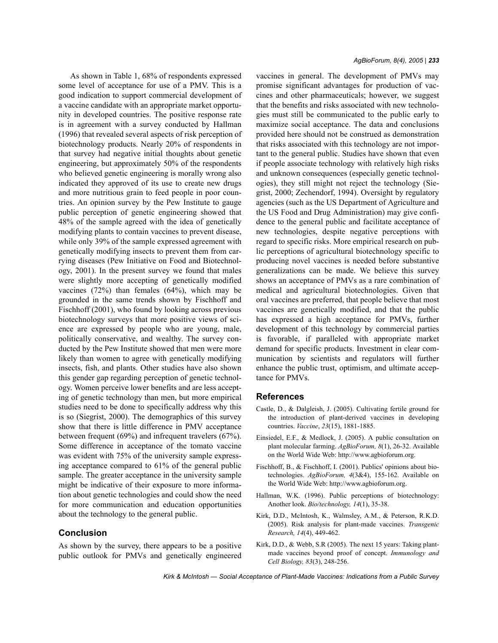As shown in Table 1, 68% of respondents expressed some level of acceptance for use of a PMV. This is a good indication to support commercial development of a vaccine candidate with an appropriate market opportunity in developed countries. The positive response rate is in agreement with a survey conducted by Hallman (1996) that revealed several aspects of risk perception of biotechnology products. Nearly 20% of respondents in that survey had negative initial thoughts about genetic engineering, but approximately 50% of the respondents who believed genetic engineering is morally wrong also indicated they approved of its use to create new drugs and more nutritious grain to feed people in poor countries. An opinion survey by the Pew Institute to gauge public perception of genetic engineering showed that 48% of the sample agreed with the idea of genetically modifying plants to contain vaccines to prevent disease, while only 39% of the sample expressed agreement with genetically modifying insects to prevent them from carrying diseases (Pew Initiative on Food and Biotechnology, 2001). In the present survey we found that males were slightly more accepting of genetically modified vaccines (72%) than females (64%), which may be grounded in the same trends shown by Fischhoff and Fischhoff (2001), who found by looking across previous biotechnology surveys that more positive views of science are expressed by people who are young, male, politically conservative, and wealthy. The survey conducted by the Pew Institute showed that men were more likely than women to agree with genetically modifying insects, fish, and plants. Other studies have also shown this gender gap regarding perception of genetic technology. Women perceive lower benefits and are less accepting of genetic technology than men, but more empirical studies need to be done to specifically address why this is so (Siegrist, 2000). The demographics of this survey show that there is little difference in PMV acceptance between frequent (69%) and infrequent travelers (67%). Some difference in acceptance of the tomato vaccine was evident with 75% of the university sample expressing acceptance compared to 61% of the general public sample. The greater acceptance in the university sample might be indicative of their exposure to more information about genetic technologies and could show the need for more communication and education opportunities about the technology to the general public.

## **Conclusion**

As shown by the survey, there appears to be a positive public outlook for PMVs and genetically engineered vaccines in general. The development of PMVs may promise significant advantages for production of vaccines and other pharmaceuticals; however, we suggest that the benefits and risks associated with new technologies must still be communicated to the public early to maximize social acceptance. The data and conclusions provided here should not be construed as demonstration that risks associated with this technology are not important to the general public. Studies have shown that even if people associate technology with relatively high risks and unknown consequences (especially genetic technologies), they still might not reject the technology (Siegrist, 2000; Zechendorf, 1994). Oversight by regulatory agencies (such as the US Department of Agriculture and the US Food and Drug Administration) may give confidence to the general public and facilitate acceptance of new technologies, despite negative perceptions with regard to specific risks. More empirical research on public perceptions of agricultural biotechnology specific to producing novel vaccines is needed before substantive generalizations can be made. We believe this survey shows an acceptance of PMVs as a rare combination of medical and agricultural biotechnologies. Given that oral vaccines are preferred, that people believe that most vaccines are genetically modified, and that the public has expressed a high acceptance for PMVs, further development of this technology by commercial parties is favorable, if paralleled with appropriate market demand for specific products. Investment in clear communication by scientists and regulators will further enhance the public trust, optimism, and ultimate acceptance for PMVs.

### **References**

- Castle, D., & Dalgleish, J. (2005). Cultivating fertile ground for the introduction of plant-derived vaccines in developing countries. *Vaccine*, *23*(15), 1881-1885.
- Einsiedel, E.F., & Medlock, J. (2005). A public consultation on plant molecular farming. *AgBioForum, 8*(1), 26-32. Available on the World Wide Web: http://www.agbioforum.org.
- Fischhoff, B., & Fischhoff, I. (2001). Publics' opinions about biotechnologies. *AgBioForum, 4*(3&4), 155-162. Available on the World Wide Web: http://www.agbioforum.org.
- Hallman, W.K. (1996). Public perceptions of biotechnology: Another look. *Bio/technology, 14*(1), 35-38.
- Kirk, D.D., McIntosh, K., Walmsley, A.M., & Peterson, R.K.D. (2005). Risk analysis for plant-made vaccines. *Transgenic Research, 14*(4), 449-462.
- Kirk, D.D., & Webb, S.R (2005). The next 15 years: Taking plantmade vaccines beyond proof of concept. *Immunology and Cell Biology, 83*(3), 248-256.

*Kirk & McIntosh — Social Acceptance of Plant-Made Vaccines: Indications from a Public Survey*